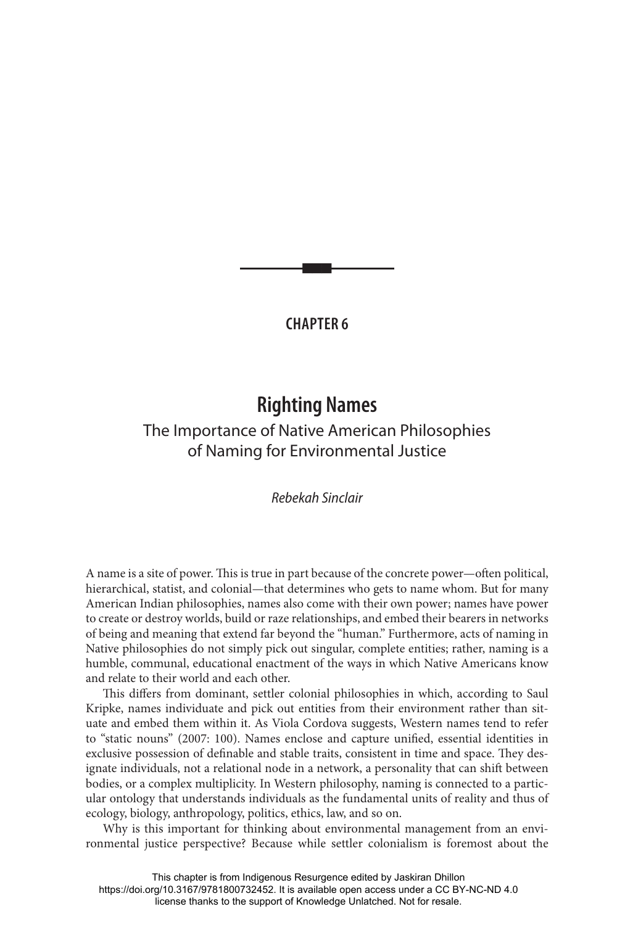

# **CHAPTER 6**

# **Righting Names**

# The Importance of Native American Philosophies of Naming for Environmental Justice

## *Rebekah Sinclair*

A name is a site of power. This is true in part because of the concrete power—often political, hierarchical, statist, and colonial—that determines who gets to name whom. But for many American Indian philosophies, names also come with their own power; names have power to create or destroy worlds, build or raze relationships, and embed their bearers in networks of being and meaning that extend far beyond the "human." Furthermore, acts of naming in Native philosophies do not simply pick out singular, complete entities; rather, naming is a humble, communal, educational enactment of the ways in which Native Americans know and relate to their world and each other.

This differs from dominant, settler colonial philosophies in which, according to Saul Kripke, names individuate and pick out entities from their environment rather than situate and embed them within it. As Viola Cordova suggests, Western names tend to refer to "static nouns" (2007: 100). Names enclose and capture unified, essential identities in exclusive possession of definable and stable traits, consistent in time and space. They designate individuals, not a relational node in a network, a personality that can shift between bodies, or a complex multiplicity. In Western philosophy, naming is connected to a particular ontology that understands individuals as the fundamental units of reality and thus of ecology, biology, anthropology, politics, ethics, law, and so on.

Why is this important for thinking about environmental management from an environmental justice perspective? Because while settler colonialism is foremost about the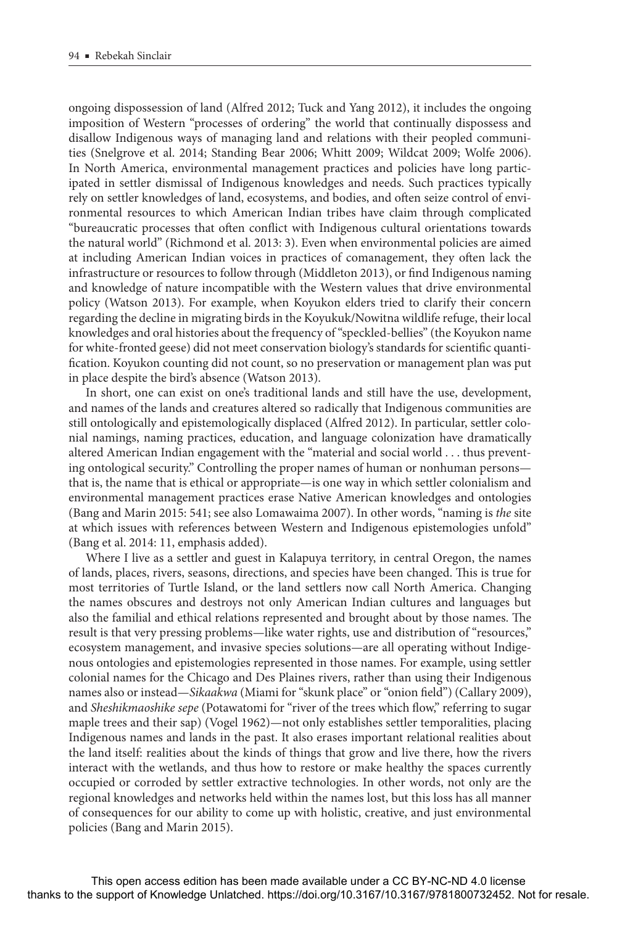ongoing dispossession of land (Alfred 2012; Tuck and Yang 2012), it includes the ongoing imposition of Western "processes of ordering" the world that continually dispossess and disallow Indigenous ways of managing land and relations with their peopled communities (Snelgrove et al. 2014; Standing Bear 2006; Whitt 2009; Wildcat 2009; Wolfe 2006). In North America, environmental management practices and policies have long participated in settler dismissal of Indigenous knowledges and needs. Such practices typically rely on settler knowledges of land, ecosystems, and bodies, and often seize control of environmental resources to which American Indian tribes have claim through complicated "bureaucratic processes that often conflict with Indigenous cultural orientations towards the natural world" (Richmond et al. 2013: 3). Even when environmental policies are aimed at including American Indian voices in practices of comanagement, they often lack the infrastructure or resources to follow through (Middleton 2013), or find Indigenous naming and knowledge of nature incompatible with the Western values that drive environmental policy (Watson 2013). For example, when Koyukon elders tried to clarify their concern regarding the decline in migrating birds in the Koyukuk/Nowitna wildlife refuge, their local knowledges and oral histories about the frequency of "speckled-bellies" (the Koyukon name for white-fronted geese) did not meet conservation biology's standards for scientific quantification. Koyukon counting did not count, so no preservation or management plan was put in place despite the bird's absence (Watson 2013).

In short, one can exist on one's traditional lands and still have the use, development, and names of the lands and creatures altered so radically that Indigenous communities are still ontologically and epistemologically displaced (Alfred 2012). In particular, settler colonial namings, naming practices, education, and language colonization have dramatically altered American Indian engagement with the "material and social world . . . thus preventing ontological security." Controlling the proper names of human or nonhuman persons that is, the name that is ethical or appropriate—is one way in which settler colonialism and environmental management practices erase Native American knowledges and ontologies (Bang and Marin 2015: 541; see also Lomawaima 2007). In other words, "naming is *the* site at which issues with references between Western and Indigenous epistemologies unfold" (Bang et al. 2014: 11, emphasis added).

Where I live as a settler and guest in Kalapuya territory, in central Oregon, the names of lands, places, rivers, seasons, directions, and species have been changed. This is true for most territories of Turtle Island, or the land settlers now call North America. Changing the names obscures and destroys not only American Indian cultures and languages but also the familial and ethical relations represented and brought about by those names. The result is that very pressing problems—like water rights, use and distribution of "resources," ecosystem management, and invasive species solutions—are all operating without Indigenous ontologies and epistemologies represented in those names. For example, using settler colonial names for the Chicago and Des Plaines rivers, rather than using their Indigenous names also or instead—*Sikaakwa* (Miami for "skunk place" or "onion field") (Callary 2009), and *Sheshikmaoshike sepe* (Potawatomi for "river of the trees which flow," referring to sugar maple trees and their sap) (Vogel 1962)—not only establishes settler temporalities, placing Indigenous names and lands in the past. It also erases important relational realities about the land itself: realities about the kinds of things that grow and live there, how the rivers interact with the wetlands, and thus how to restore or make healthy the spaces currently occupied or corroded by settler extractive technologies. In other words, not only are the regional knowledges and networks held within the names lost, but this loss has all manner of consequences for our ability to come up with holistic, creative, and just environmental policies (Bang and Marin 2015).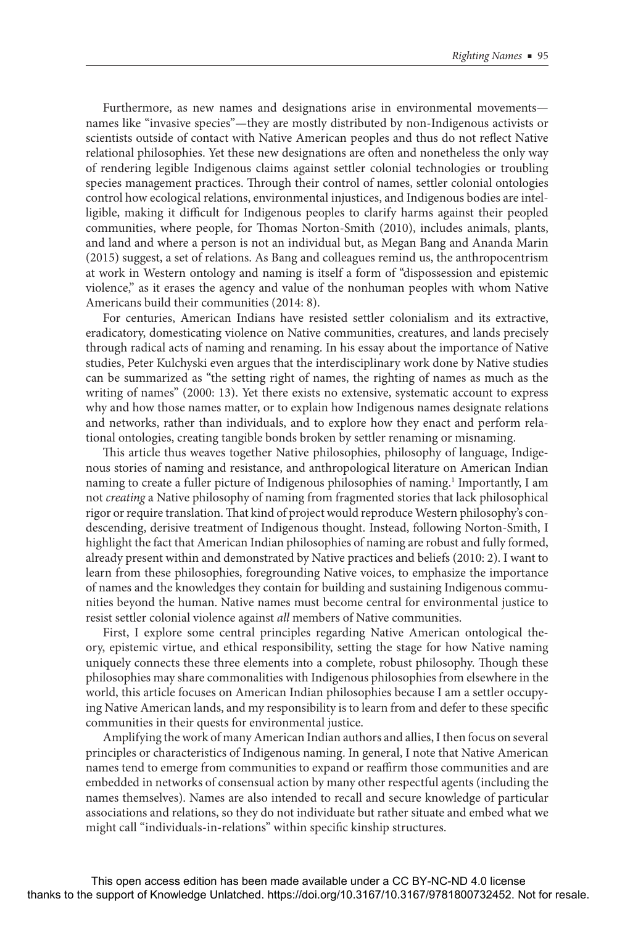Furthermore, as new names and designations arise in environmental movements names like "invasive species"—they are mostly distributed by non-Indigenous activists or scientists outside of contact with Native American peoples and thus do not reflect Native relational philosophies. Yet these new designations are often and nonetheless the only way of rendering legible Indigenous claims against settler colonial technologies or troubling species management practices. Through their control of names, settler colonial ontologies control how ecological relations, environmental injustices, and Indigenous bodies are intelligible, making it difficult for Indigenous peoples to clarify harms against their peopled communities, where people, for Thomas Norton-Smith (2010), includes animals, plants, and land and where a person is not an individual but, as Megan Bang and Ananda Marin (2015) suggest, a set of relations. As Bang and colleagues remind us, the anthropocentrism at work in Western ontology and naming is itself a form of "dispossession and epistemic violence," as it erases the agency and value of the nonhuman peoples with whom Native Americans build their communities (2014: 8).

For centuries, American Indians have resisted settler colonialism and its extractive, eradicatory, domesticating violence on Native communities, creatures, and lands precisely through radical acts of naming and renaming. In his essay about the importance of Native studies, Peter Kulchyski even argues that the interdisciplinary work done by Native studies can be summarized as "the setting right of names, the righting of names as much as the writing of names" (2000: 13). Yet there exists no extensive, systematic account to express why and how those names matter, or to explain how Indigenous names designate relations and networks, rather than individuals, and to explore how they enact and perform relational ontologies, creating tangible bonds broken by settler renaming or misnaming.

This article thus weaves together Native philosophies, philosophy of language, Indigenous stories of naming and resistance, and anthropological literature on American Indian naming to create a fuller picture of Indigenous philosophies of naming.<sup>1</sup> Importantly, I am not *creating* a Native philosophy of naming from fragmented stories that lack philosophical rigor or require translation. That kind of project would reproduce Western philosophy's condescending, derisive treatment of Indigenous thought. Instead, following Norton-Smith, I highlight the fact that American Indian philosophies of naming are robust and fully formed, already present within and demonstrated by Native practices and beliefs (2010: 2). I want to learn from these philosophies, foregrounding Native voices, to emphasize the importance of names and the knowledges they contain for building and sustaining Indigenous communities beyond the human. Native names must become central for environmental justice to resist settler colonial violence against *all* members of Native communities.

First, I explore some central principles regarding Native American ontological theory, epistemic virtue, and ethical responsibility, setting the stage for how Native naming uniquely connects these three elements into a complete, robust philosophy. Though these philosophies may share commonalities with Indigenous philosophies from elsewhere in the world, this article focuses on American Indian philosophies because I am a settler occupying Native American lands, and my responsibility is to learn from and defer to these specific communities in their quests for environmental justice.

Amplifying the work of many American Indian authors and allies, I then focus on several principles or characteristics of Indigenous naming. In general, I note that Native American names tend to emerge from communities to expand or reaffirm those communities and are embedded in networks of consensual action by many other respectful agents (including the names themselves). Names are also intended to recall and secure knowledge of particular associations and relations, so they do not individuate but rather situate and embed what we might call "individuals-in-relations" within specific kinship structures.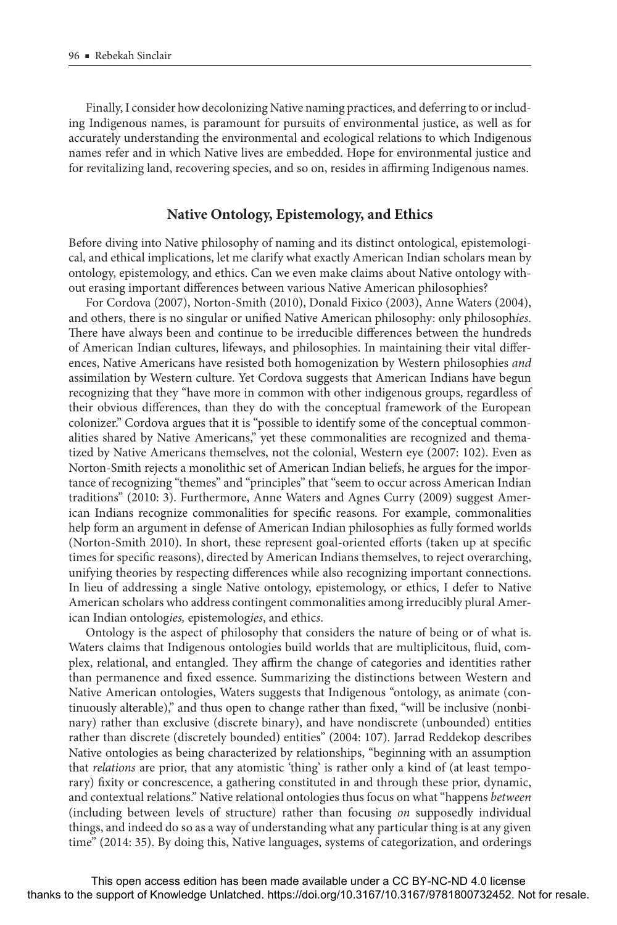Finally, I consider how decolonizing Native naming practices, and deferring to or including Indigenous names, is paramount for pursuits of environmental justice, as well as for accurately understanding the environmental and ecological relations to which Indigenous names refer and in which Native lives are embedded. Hope for environmental justice and for revitalizing land, recovering species, and so on, resides in affirming Indigenous names.

### **Native Ontology, Epistemology, and Ethics**

Before diving into Native philosophy of naming and its distinct ontological, epistemological, and ethical implications, let me clarify what exactly American Indian scholars mean by ontology, epistemology, and ethics. Can we even make claims about Native ontology without erasing important differences between various Native American philosophies?

For Cordova (2007), Norton-Smith (2010), Donald Fixico (2003), Anne Waters (2004), and others, there is no singular or unified Native American philosophy: only philosoph*ies*. There have always been and continue to be irreducible differences between the hundreds of American Indian cultures, lifeways, and philosophies. In maintaining their vital differences, Native Americans have resisted both homogenization by Western philosophies *and* assimilation by Western culture. Yet Cordova suggests that American Indians have begun recognizing that they "have more in common with other indigenous groups, regardless of their obvious differences, than they do with the conceptual framework of the European colonizer." Cordova argues that it is "possible to identify some of the conceptual commonalities shared by Native Americans," yet these commonalities are recognized and thematized by Native Americans themselves, not the colonial, Western eye (2007: 102). Even as Norton-Smith rejects a monolithic set of American Indian beliefs, he argues for the importance of recognizing "themes" and "principles" that "seem to occur across American Indian traditions" (2010: 3). Furthermore, Anne Waters and Agnes Curry (2009) suggest American Indians recognize commonalities for specific reasons. For example, commonalities help form an argument in defense of American Indian philosophies as fully formed worlds (Norton-Smith 2010). In short, these represent goal-oriented efforts (taken up at specific times for specific reasons), directed by American Indians themselves, to reject overarching, unifying theories by respecting differences while also recognizing important connections. In lieu of addressing a single Native ontology, epistemology, or ethics, I defer to Native American scholars who address contingent commonalities among irreducibly plural American Indian ontolog*ies,* epistemolog*ies*, and ethic*s*.

Ontology is the aspect of philosophy that considers the nature of being or of what is. Waters claims that Indigenous ontologies build worlds that are multiplicitous, fluid, complex, relational, and entangled. They affirm the change of categories and identities rather than permanence and fixed essence. Summarizing the distinctions between Western and Native American ontologies, Waters suggests that Indigenous "ontology, as animate (continuously alterable)," and thus open to change rather than fixed, "will be inclusive (nonbinary) rather than exclusive (discrete binary), and have nondiscrete (unbounded) entities rather than discrete (discretely bounded) entities" (2004: 107). Jarrad Reddekop describes Native ontologies as being characterized by relationships, "beginning with an assumption that *relations* are prior, that any atomistic 'thing' is rather only a kind of (at least temporary) fixity or concrescence, a gathering constituted in and through these prior, dynamic, and contextual relations." Native relational ontologies thus focus on what "happens *between*  (including between levels of structure) rather than focusing *on* supposedly individual things, and indeed do so as a way of understanding what any particular thing is at any given time" (2014: 35). By doing this, Native languages, systems of categorization, and orderings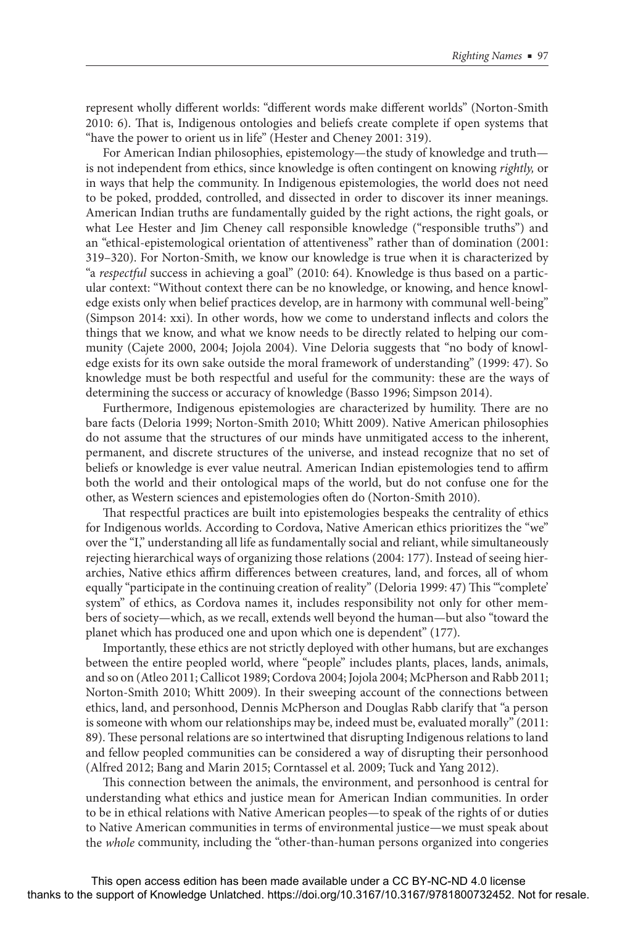represent wholly different worlds: "different words make different worlds" (Norton-Smith 2010: 6). That is, Indigenous ontologies and beliefs create complete if open systems that "have the power to orient us in life" (Hester and Cheney 2001: 319).

For American Indian philosophies, epistemology—the study of knowledge and truth is not independent from ethics, since knowledge is often contingent on knowing *rightly,* or in ways that help the community. In Indigenous epistemologies, the world does not need to be poked, prodded, controlled, and dissected in order to discover its inner meanings. American Indian truths are fundamentally guided by the right actions, the right goals, or what Lee Hester and Jim Cheney call responsible knowledge ("responsible truths") and an "ethical-epistemological orientation of attentiveness" rather than of domination (2001: 319–320). For Norton-Smith, we know our knowledge is true when it is characterized by "a *respectful* success in achieving a goal" (2010: 64). Knowledge is thus based on a particular context: "Without context there can be no knowledge, or knowing, and hence knowledge exists only when belief practices develop, are in harmony with communal well-being" (Simpson 2014: xxi). In other words, how we come to understand inflects and colors the things that we know, and what we know needs to be directly related to helping our community (Cajete 2000, 2004; Jojola 2004). Vine Deloria suggests that "no body of knowledge exists for its own sake outside the moral framework of understanding" (1999: 47). So knowledge must be both respectful and useful for the community: these are the ways of determining the success or accuracy of knowledge (Basso 1996; Simpson 2014).

Furthermore, Indigenous epistemologies are characterized by humility. There are no bare facts (Deloria 1999; Norton-Smith 2010; Whitt 2009). Native American philosophies do not assume that the structures of our minds have unmitigated access to the inherent, permanent, and discrete structures of the universe, and instead recognize that no set of beliefs or knowledge is ever value neutral. American Indian epistemologies tend to affirm both the world and their ontological maps of the world, but do not confuse one for the other, as Western sciences and epistemologies often do (Norton-Smith 2010).

That respectful practices are built into epistemologies bespeaks the centrality of ethics for Indigenous worlds. According to Cordova, Native American ethics prioritizes the "we" over the "I," understanding all life as fundamentally social and reliant, while simultaneously rejecting hierarchical ways of organizing those relations (2004: 177). Instead of seeing hierarchies, Native ethics affirm differences between creatures, land, and forces, all of whom equally "participate in the continuing creation of reality" (Deloria 1999: 47) This "'complete' system" of ethics, as Cordova names it, includes responsibility not only for other members of society—which, as we recall, extends well beyond the human—but also "toward the planet which has produced one and upon which one is dependent" (177).

Importantly, these ethics are not strictly deployed with other humans, but are exchanges between the entire peopled world, where "people" includes plants, places, lands, animals, and so on (Atleo 2011; Callicot 1989; Cordova 2004; Jojola 2004; McPherson and Rabb 2011; Norton-Smith 2010; Whitt 2009). In their sweeping account of the connections between ethics, land, and personhood, Dennis McPherson and Douglas Rabb clarify that "a person is someone with whom our relationships may be, indeed must be, evaluated morally" (2011: 89). These personal relations are so intertwined that disrupting Indigenous relations to land and fellow peopled communities can be considered a way of disrupting their personhood (Alfred 2012; Bang and Marin 2015; Corntassel et al. 2009; Tuck and Yang 2012).

This connection between the animals, the environment, and personhood is central for understanding what ethics and justice mean for American Indian communities. In order to be in ethical relations with Native American peoples—to speak of the rights of or duties to Native American communities in terms of environmental justice—we must speak about the *whole* community, including the "other-than-human persons organized into congeries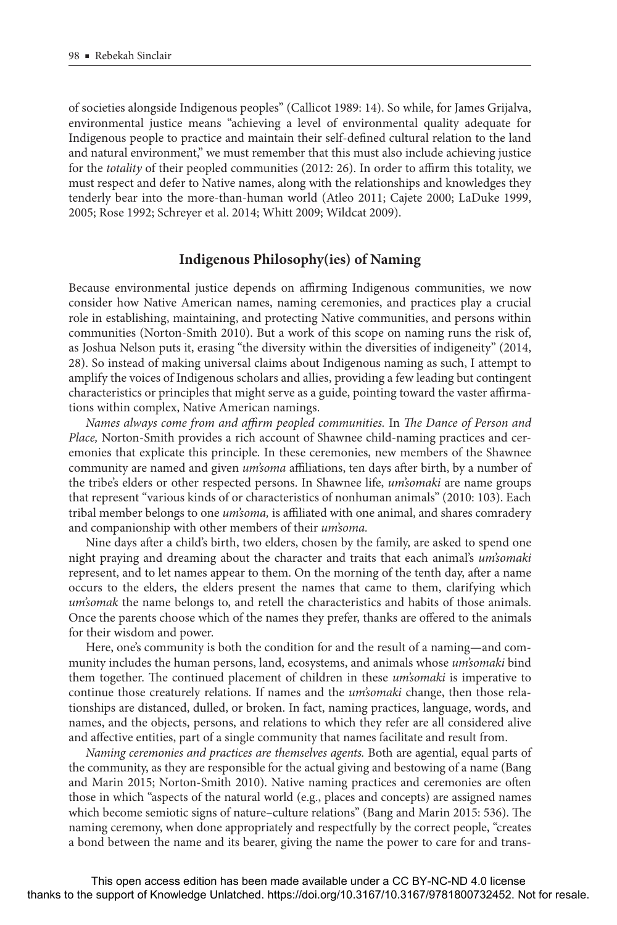of societies alongside Indigenous peoples" (Callicot 1989: 14). So while, for James Grijalva, environmental justice means "achieving a level of environmental quality adequate for Indigenous people to practice and maintain their self-defined cultural relation to the land and natural environment," we must remember that this must also include achieving justice for the *totality* of their peopled communities (2012: 26). In order to affirm this totality, we must respect and defer to Native names, along with the relationships and knowledges they tenderly bear into the more-than-human world (Atleo 2011; Cajete 2000; LaDuke 1999, 2005; Rose 1992; Schreyer et al. 2014; Whitt 2009; Wildcat 2009).

## **Indigenous Philosophy(ies) of Naming**

Because environmental justice depends on affirming Indigenous communities, we now consider how Native American names, naming ceremonies, and practices play a crucial role in establishing, maintaining, and protecting Native communities, and persons within communities (Norton-Smith 2010). But a work of this scope on naming runs the risk of, as Joshua Nelson puts it, erasing "the diversity within the diversities of indigeneity" (2014, 28). So instead of making universal claims about Indigenous naming as such, I attempt to amplify the voices of Indigenous scholars and allies, providing a few leading but contingent characteristics or principles that might serve as a guide, pointing toward the vaster affirmations within complex, Native American namings.

*Names always come from and affirm peopled communities.* In *The Dance of Person and Place,* Norton-Smith provides a rich account of Shawnee child-naming practices and ceremonies that explicate this principle. In these ceremonies, new members of the Shawnee community are named and given *um'soma* affiliations, ten days after birth, by a number of the tribe's elders or other respected persons. In Shawnee life, *um'somaki* are name groups that represent "various kinds of or characteristics of nonhuman animals" (2010: 103). Each tribal member belongs to one *um'soma,* is affiliated with one animal, and shares comradery and companionship with other members of their *um'soma.*

Nine days after a child's birth, two elders, chosen by the family, are asked to spend one night praying and dreaming about the character and traits that each animal's *um'somaki* represent, and to let names appear to them. On the morning of the tenth day, after a name occurs to the elders, the elders present the names that came to them, clarifying which *um'somak* the name belongs to, and retell the characteristics and habits of those animals. Once the parents choose which of the names they prefer, thanks are offered to the animals for their wisdom and power.

Here, one's community is both the condition for and the result of a naming—and community includes the human persons, land, ecosystems, and animals whose *um'somaki* bind them together. The continued placement of children in these *um'somaki* is imperative to continue those creaturely relations. If names and the *um'somaki* change, then those relationships are distanced, dulled, or broken. In fact, naming practices, language, words, and names, and the objects, persons, and relations to which they refer are all considered alive and affective entities, part of a single community that names facilitate and result from.

*Naming ceremonies and practices are themselves agents.* Both are agential, equal parts of the community, as they are responsible for the actual giving and bestowing of a name (Bang and Marin 2015; Norton-Smith 2010). Native naming practices and ceremonies are often those in which "aspects of the natural world (e.g., places and concepts) are assigned names which become semiotic signs of nature–culture relations" (Bang and Marin 2015: 536). The naming ceremony, when done appropriately and respectfully by the correct people, "creates a bond between the name and its bearer, giving the name the power to care for and trans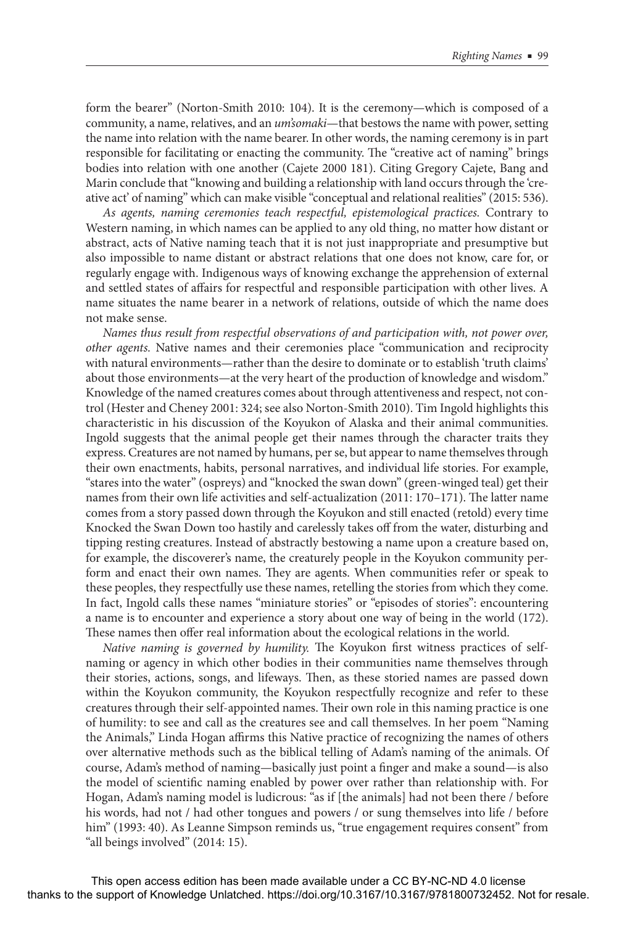form the bearer" (Norton-Smith 2010: 104). It is the ceremony—which is composed of a community, a name, relatives, and an *um'somaki*—that bestows the name with power, setting the name into relation with the name bearer. In other words, the naming ceremony is in part responsible for facilitating or enacting the community. The "creative act of naming" brings bodies into relation with one another (Cajete 2000 181). Citing Gregory Cajete, Bang and Marin conclude that "knowing and building a relationship with land occurs through the 'creative act' of naming" which can make visible "conceptual and relational realities" (2015: 536).

*As agents, naming ceremonies teach respectful, epistemological practices.* Contrary to Western naming, in which names can be applied to any old thing, no matter how distant or abstract, acts of Native naming teach that it is not just inappropriate and presumptive but also impossible to name distant or abstract relations that one does not know, care for, or regularly engage with. Indigenous ways of knowing exchange the apprehension of external and settled states of affairs for respectful and responsible participation with other lives. A name situates the name bearer in a network of relations, outside of which the name does not make sense.

*Names thus result from respectful observations of and participation with, not power over, other agents.* Native names and their ceremonies place "communication and reciprocity with natural environments—rather than the desire to dominate or to establish 'truth claims' about those environments—at the very heart of the production of knowledge and wisdom." Knowledge of the named creatures comes about through attentiveness and respect, not control (Hester and Cheney 2001: 324; see also Norton-Smith 2010). Tim Ingold highlights this characteristic in his discussion of the Koyukon of Alaska and their animal communities. Ingold suggests that the animal people get their names through the character traits they express. Creatures are not named by humans, per se, but appear to name themselves through their own enactments, habits, personal narratives, and individual life stories. For example, "stares into the water" (ospreys) and "knocked the swan down" (green-winged teal) get their names from their own life activities and self-actualization (2011: 170–171). The latter name comes from a story passed down through the Koyukon and still enacted (retold) every time Knocked the Swan Down too hastily and carelessly takes off from the water, disturbing and tipping resting creatures. Instead of abstractly bestowing a name upon a creature based on, for example, the discoverer's name, the creaturely people in the Koyukon community perform and enact their own names. They are agents. When communities refer or speak to these peoples, they respectfully use these names, retelling the stories from which they come. In fact, Ingold calls these names "miniature stories" or "episodes of stories": encountering a name is to encounter and experience a story about one way of being in the world (172). These names then offer real information about the ecological relations in the world.

*Native naming is governed by humility.* The Koyukon first witness practices of selfnaming or agency in which other bodies in their communities name themselves through their stories, actions, songs, and lifeways. Then, as these storied names are passed down within the Koyukon community, the Koyukon respectfully recognize and refer to these creatures through their self-appointed names. Their own role in this naming practice is one of humility: to see and call as the creatures see and call themselves. In her poem "Naming the Animals," Linda Hogan affirms this Native practice of recognizing the names of others over alternative methods such as the biblical telling of Adam's naming of the animals. Of course, Adam's method of naming—basically just point a finger and make a sound—is also the model of scientific naming enabled by power over rather than relationship with. For Hogan, Adam's naming model is ludicrous: "as if [the animals] had not been there / before his words, had not / had other tongues and powers / or sung themselves into life / before him" (1993: 40). As Leanne Simpson reminds us, "true engagement requires consent" from "all beings involved" (2014: 15).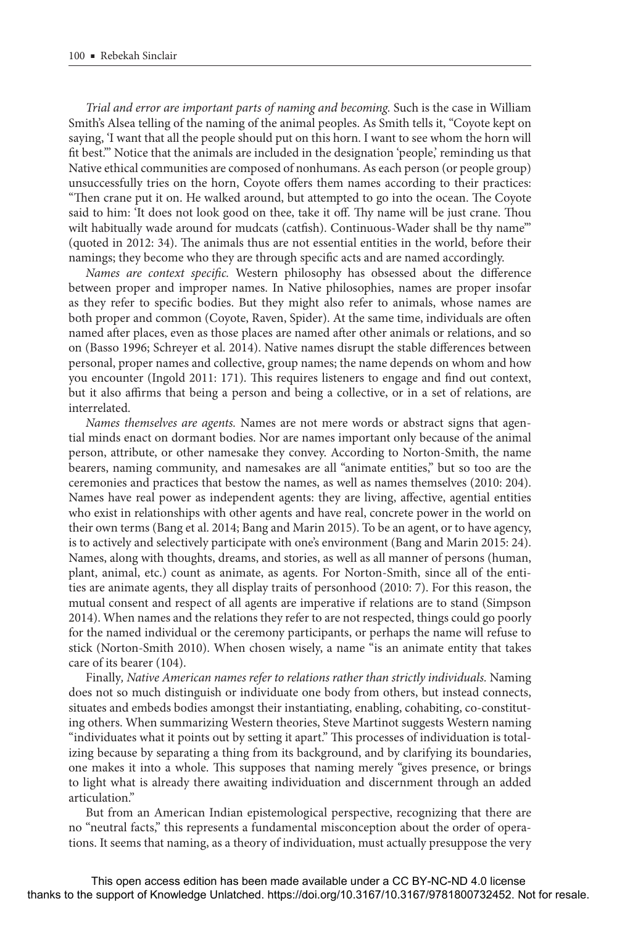*Trial and error are important parts of naming and becoming.* Such is the case in William Smith's Alsea telling of the naming of the animal peoples. As Smith tells it, "Coyote kept on saying, 'I want that all the people should put on this horn. I want to see whom the horn will fit best.'" Notice that the animals are included in the designation 'people,' reminding us that Native ethical communities are composed of nonhumans. As each person (or people group) unsuccessfully tries on the horn, Coyote offers them names according to their practices: "Then crane put it on. He walked around, but attempted to go into the ocean. The Coyote said to him: 'It does not look good on thee, take it off. Thy name will be just crane. Thou wilt habitually wade around for mudcats (catfish). Continuous-Wader shall be thy name'" (quoted in 2012: 34). The animals thus are not essential entities in the world, before their namings; they become who they are through specific acts and are named accordingly.

*Names are context specific.* Western philosophy has obsessed about the difference between proper and improper names. In Native philosophies, names are proper insofar as they refer to specific bodies. But they might also refer to animals, whose names are both proper and common (Coyote, Raven, Spider). At the same time, individuals are often named after places, even as those places are named after other animals or relations, and so on (Basso 1996; Schreyer et al. 2014). Native names disrupt the stable differences between personal, proper names and collective, group names; the name depends on whom and how you encounter (Ingold 2011: 171). This requires listeners to engage and find out context, but it also affirms that being a person and being a collective, or in a set of relations, are interrelated.

*Names themselves are agents.* Names are not mere words or abstract signs that agential minds enact on dormant bodies. Nor are names important only because of the animal person, attribute, or other namesake they convey. According to Norton-Smith, the name bearers, naming community, and namesakes are all "animate entities," but so too are the ceremonies and practices that bestow the names, as well as names themselves (2010: 204). Names have real power as independent agents: they are living, affective, agential entities who exist in relationships with other agents and have real, concrete power in the world on their own terms (Bang et al. 2014; Bang and Marin 2015). To be an agent, or to have agency, is to actively and selectively participate with one's environment (Bang and Marin 2015: 24). Names, along with thoughts, dreams, and stories, as well as all manner of persons (human, plant, animal, etc.) count as animate, as agents. For Norton-Smith, since all of the entities are animate agents, they all display traits of personhood (2010: 7). For this reason, the mutual consent and respect of all agents are imperative if relations are to stand (Simpson 2014). When names and the relations they refer to are not respected, things could go poorly for the named individual or the ceremony participants, or perhaps the name will refuse to stick (Norton-Smith 2010). When chosen wisely, a name "is an animate entity that takes care of its bearer (104).

Finally*, Native American names refer to relations rather than strictly individuals.* Naming does not so much distinguish or individuate one body from others, but instead connects, situates and embeds bodies amongst their instantiating, enabling, cohabiting, co-constituting others. When summarizing Western theories, Steve Martinot suggests Western naming "individuates what it points out by setting it apart." This processes of individuation is totalizing because by separating a thing from its background, and by clarifying its boundaries, one makes it into a whole. This supposes that naming merely "gives presence, or brings to light what is already there awaiting individuation and discernment through an added articulation."

But from an American Indian epistemological perspective, recognizing that there are no "neutral facts," this represents a fundamental misconception about the order of operations. It seems that naming, as a theory of individuation, must actually presuppose the very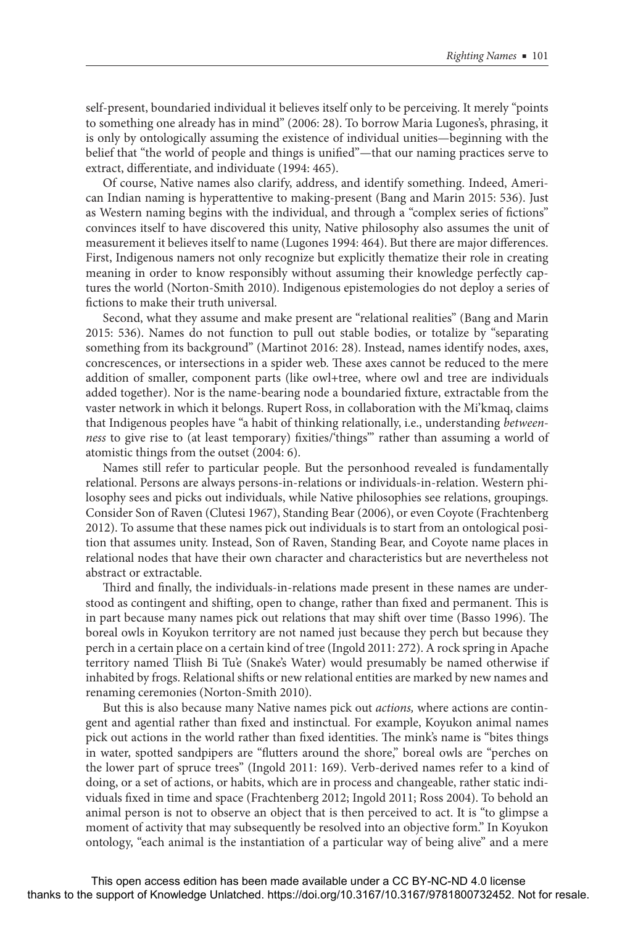self-present, boundaried individual it believes itself only to be perceiving. It merely "points to something one already has in mind" (2006: 28). To borrow Maria Lugones's, phrasing, it is only by ontologically assuming the existence of individual unities—beginning with the belief that "the world of people and things is unified"—that our naming practices serve to extract, differentiate, and individuate (1994: 465).

Of course, Native names also clarify, address, and identify something. Indeed, American Indian naming is hyperattentive to making-present (Bang and Marin 2015: 536). Just as Western naming begins with the individual, and through a "complex series of fictions" convinces itself to have discovered this unity, Native philosophy also assumes the unit of measurement it believes itself to name (Lugones 1994: 464). But there are major differences. First, Indigenous namers not only recognize but explicitly thematize their role in creating meaning in order to know responsibly without assuming their knowledge perfectly captures the world (Norton-Smith 2010). Indigenous epistemologies do not deploy a series of fictions to make their truth universal.

Second, what they assume and make present are "relational realities" (Bang and Marin 2015: 536). Names do not function to pull out stable bodies, or totalize by "separating something from its background" (Martinot 2016: 28). Instead, names identify nodes, axes, concrescences, or intersections in a spider web. These axes cannot be reduced to the mere addition of smaller, component parts (like owl+tree, where owl and tree are individuals added together). Nor is the name-bearing node a boundaried fixture, extractable from the vaster network in which it belongs. Rupert Ross, in collaboration with the Mi'kmaq, claims that Indigenous peoples have "a habit of thinking relationally, i.e., understanding *betweenness* to give rise to (at least temporary) fixities/'things'" rather than assuming a world of atomistic things from the outset (2004: 6).

Names still refer to particular people. But the personhood revealed is fundamentally relational. Persons are always persons-in-relations or individuals-in-relation. Western philosophy sees and picks out individuals, while Native philosophies see relations, groupings. Consider Son of Raven (Clutesi 1967), Standing Bear (2006), or even Coyote (Frachtenberg 2012). To assume that these names pick out individuals is to start from an ontological position that assumes unity. Instead, Son of Raven, Standing Bear, and Coyote name places in relational nodes that have their own character and characteristics but are nevertheless not abstract or extractable.

Third and finally, the individuals-in-relations made present in these names are understood as contingent and shifting, open to change, rather than fixed and permanent. This is in part because many names pick out relations that may shift over time (Basso 1996). The boreal owls in Koyukon territory are not named just because they perch but because they perch in a certain place on a certain kind of tree (Ingold 2011: 272). A rock spring in Apache territory named Tliish Bi Tu'e (Snake's Water) would presumably be named otherwise if inhabited by frogs. Relational shifts or new relational entities are marked by new names and renaming ceremonies (Norton-Smith 2010).

But this is also because many Native names pick out *actions,* where actions are contingent and agential rather than fixed and instinctual. For example, Koyukon animal names pick out actions in the world rather than fixed identities. The mink's name is "bites things in water, spotted sandpipers are "flutters around the shore," boreal owls are "perches on the lower part of spruce trees" (Ingold 2011: 169). Verb-derived names refer to a kind of doing, or a set of actions, or habits, which are in process and changeable, rather static individuals fixed in time and space (Frachtenberg 2012; Ingold 2011; Ross 2004). To behold an animal person is not to observe an object that is then perceived to act. It is "to glimpse a moment of activity that may subsequently be resolved into an objective form." In Koyukon ontology, "each animal is the instantiation of a particular way of being alive" and a mere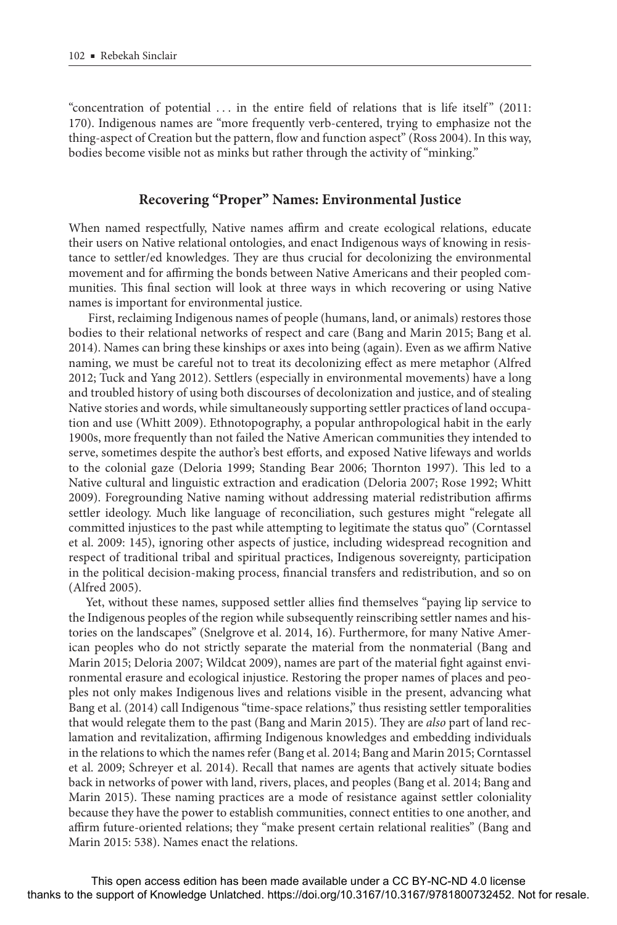"concentration of potential  $\dots$  in the entire field of relations that is life itself" (2011: 170). Indigenous names are "more frequently verb-centered, trying to emphasize not the thing-aspect of Creation but the pattern, flow and function aspect" (Ross 2004). In this way, bodies become visible not as minks but rather through the activity of "minking."

## **Recovering "Proper" Names: Environmental Justice**

When named respectfully, Native names affirm and create ecological relations, educate their users on Native relational ontologies, and enact Indigenous ways of knowing in resistance to settler/ed knowledges. They are thus crucial for decolonizing the environmental movement and for affirming the bonds between Native Americans and their peopled communities. This final section will look at three ways in which recovering or using Native names is important for environmental justice.

 First, reclaiming Indigenous names of people (humans, land, or animals) restores those bodies to their relational networks of respect and care (Bang and Marin 2015; Bang et al. 2014). Names can bring these kinships or axes into being (again). Even as we affirm Native naming, we must be careful not to treat its decolonizing effect as mere metaphor (Alfred 2012; Tuck and Yang 2012). Settlers (especially in environmental movements) have a long and troubled history of using both discourses of decolonization and justice, and of stealing Native stories and words, while simultaneously supporting settler practices of land occupation and use (Whitt 2009). Ethnotopography, a popular anthropological habit in the early 1900s, more frequently than not failed the Native American communities they intended to serve, sometimes despite the author's best efforts, and exposed Native lifeways and worlds to the colonial gaze (Deloria 1999; Standing Bear 2006; Thornton 1997). This led to a Native cultural and linguistic extraction and eradication (Deloria 2007; Rose 1992; Whitt 2009). Foregrounding Native naming without addressing material redistribution affirms settler ideology. Much like language of reconciliation, such gestures might "relegate all committed injustices to the past while attempting to legitimate the status quo" (Corntassel et al. 2009: 145), ignoring other aspects of justice, including widespread recognition and respect of traditional tribal and spiritual practices, Indigenous sovereignty, participation in the political decision-making process, financial transfers and redistribution, and so on (Alfred 2005).

Yet, without these names, supposed settler allies find themselves "paying lip service to the Indigenous peoples of the region while subsequently reinscribing settler names and histories on the landscapes" (Snelgrove et al. 2014, 16). Furthermore, for many Native American peoples who do not strictly separate the material from the nonmaterial (Bang and Marin 2015; Deloria 2007; Wildcat 2009), names are part of the material fight against environmental erasure and ecological injustice. Restoring the proper names of places and peoples not only makes Indigenous lives and relations visible in the present, advancing what Bang et al. (2014) call Indigenous "time-space relations," thus resisting settler temporalities that would relegate them to the past (Bang and Marin 2015). They are *also* part of land reclamation and revitalization, affirming Indigenous knowledges and embedding individuals in the relations to which the names refer (Bang et al. 2014; Bang and Marin 2015; Corntassel et al. 2009; Schreyer et al. 2014). Recall that names are agents that actively situate bodies back in networks of power with land, rivers, places, and peoples (Bang et al. 2014; Bang and Marin 2015). These naming practices are a mode of resistance against settler coloniality because they have the power to establish communities, connect entities to one another, and affirm future-oriented relations; they "make present certain relational realities" (Bang and Marin 2015: 538). Names enact the relations.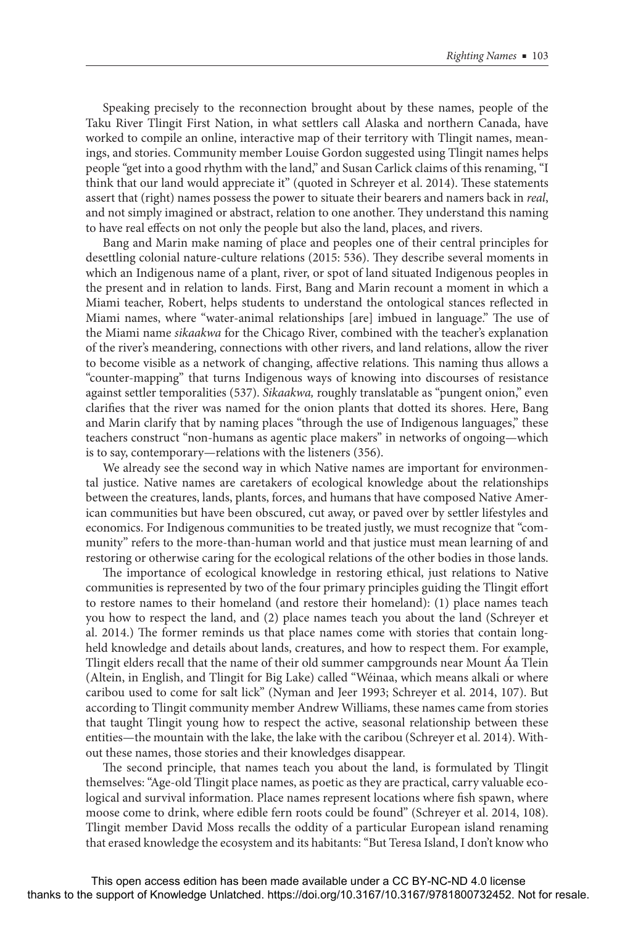Speaking precisely to the reconnection brought about by these names, people of the Taku River Tlingit First Nation, in what settlers call Alaska and northern Canada, have worked to compile an online, interactive map of their territory with Tlingit names, meanings, and stories. Community member Louise Gordon suggested using Tlingit names helps people "get into a good rhythm with the land," and Susan Carlick claims of this renaming, "I think that our land would appreciate it" (quoted in Schreyer et al. 2014). These statements assert that (right) names possess the power to situate their bearers and namers back in *real*, and not simply imagined or abstract, relation to one another. They understand this naming to have real effects on not only the people but also the land, places, and rivers.

Bang and Marin make naming of place and peoples one of their central principles for desettling colonial nature-culture relations (2015: 536). They describe several moments in which an Indigenous name of a plant, river, or spot of land situated Indigenous peoples in the present and in relation to lands. First, Bang and Marin recount a moment in which a Miami teacher, Robert, helps students to understand the ontological stances reflected in Miami names, where "water-animal relationships [are] imbued in language." The use of the Miami name *sikaakwa* for the Chicago River, combined with the teacher's explanation of the river's meandering, connections with other rivers, and land relations, allow the river to become visible as a network of changing, affective relations. This naming thus allows a "counter-mapping" that turns Indigenous ways of knowing into discourses of resistance against settler temporalities (537). *Sikaakwa,* roughly translatable as "pungent onion," even clarifies that the river was named for the onion plants that dotted its shores. Here, Bang and Marin clarify that by naming places "through the use of Indigenous languages," these teachers construct "non-humans as agentic place makers" in networks of ongoing—which is to say, contemporary—relations with the listeners (356).

We already see the second way in which Native names are important for environmental justice. Native names are caretakers of ecological knowledge about the relationships between the creatures, lands, plants, forces, and humans that have composed Native American communities but have been obscured, cut away, or paved over by settler lifestyles and economics. For Indigenous communities to be treated justly, we must recognize that "community" refers to the more-than-human world and that justice must mean learning of and restoring or otherwise caring for the ecological relations of the other bodies in those lands.

The importance of ecological knowledge in restoring ethical, just relations to Native communities is represented by two of the four primary principles guiding the Tlingit effort to restore names to their homeland (and restore their homeland): (1) place names teach you how to respect the land, and (2) place names teach you about the land (Schreyer et al. 2014.) The former reminds us that place names come with stories that contain longheld knowledge and details about lands, creatures, and how to respect them. For example, Tlingit elders recall that the name of their old summer campgrounds near Mount Áa Tlein (Altein, in English, and Tlingit for Big Lake) called "Wéinaa, which means alkali or where caribou used to come for salt lick" (Nyman and Jeer 1993; Schreyer et al. 2014, 107). But according to Tlingit community member Andrew Williams, these names came from stories that taught Tlingit young how to respect the active, seasonal relationship between these entities—the mountain with the lake, the lake with the caribou (Schreyer et al. 2014). Without these names, those stories and their knowledges disappear.

The second principle, that names teach you about the land, is formulated by Tlingit themselves: "Age-old Tlingit place names, as poetic as they are practical, carry valuable ecological and survival information. Place names represent locations where fish spawn, where moose come to drink, where edible fern roots could be found" (Schreyer et al. 2014, 108). Tlingit member David Moss recalls the oddity of a particular European island renaming that erased knowledge the ecosystem and its habitants: "But Teresa Island, I don't know who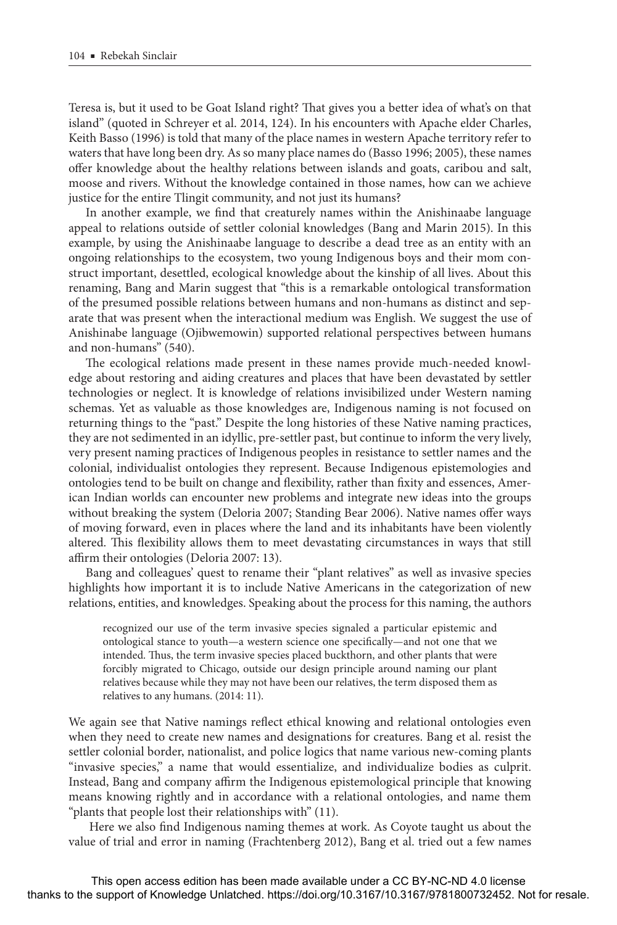Teresa is, but it used to be Goat Island right? That gives you a better idea of what's on that island" (quoted in Schreyer et al. 2014, 124). In his encounters with Apache elder Charles, Keith Basso (1996) is told that many of the place names in western Apache territory refer to waters that have long been dry. As so many place names do (Basso 1996; 2005), these names offer knowledge about the healthy relations between islands and goats, caribou and salt, moose and rivers. Without the knowledge contained in those names, how can we achieve justice for the entire Tlingit community, and not just its humans?

In another example, we find that creaturely names within the Anishinaabe language appeal to relations outside of settler colonial knowledges (Bang and Marin 2015). In this example, by using the Anishinaabe language to describe a dead tree as an entity with an ongoing relationships to the ecosystem, two young Indigenous boys and their mom construct important, desettled, ecological knowledge about the kinship of all lives. About this renaming, Bang and Marin suggest that "this is a remarkable ontological transformation of the presumed possible relations between humans and non-humans as distinct and separate that was present when the interactional medium was English. We suggest the use of Anishinabe language (Ojibwemowin) supported relational perspectives between humans and non-humans" (540).

The ecological relations made present in these names provide much-needed knowledge about restoring and aiding creatures and places that have been devastated by settler technologies or neglect. It is knowledge of relations invisibilized under Western naming schemas. Yet as valuable as those knowledges are, Indigenous naming is not focused on returning things to the "past." Despite the long histories of these Native naming practices, they are not sedimented in an idyllic, pre-settler past, but continue to inform the very lively, very present naming practices of Indigenous peoples in resistance to settler names and the colonial, individualist ontologies they represent. Because Indigenous epistemologies and ontologies tend to be built on change and flexibility, rather than fixity and essences, American Indian worlds can encounter new problems and integrate new ideas into the groups without breaking the system (Deloria 2007; Standing Bear 2006). Native names offer ways of moving forward, even in places where the land and its inhabitants have been violently altered. This flexibility allows them to meet devastating circumstances in ways that still affirm their ontologies (Deloria 2007: 13).

Bang and colleagues' quest to rename their "plant relatives" as well as invasive species highlights how important it is to include Native Americans in the categorization of new relations, entities, and knowledges. Speaking about the process for this naming, the authors

recognized our use of the term invasive species signaled a particular epistemic and ontological stance to youth—a western science one specifically—and not one that we intended. Thus, the term invasive species placed buckthorn, and other plants that were forcibly migrated to Chicago, outside our design principle around naming our plant relatives because while they may not have been our relatives, the term disposed them as relatives to any humans. (2014: 11).

We again see that Native namings reflect ethical knowing and relational ontologies even when they need to create new names and designations for creatures. Bang et al. resist the settler colonial border, nationalist, and police logics that name various new-coming plants "invasive species," a name that would essentialize, and individualize bodies as culprit. Instead, Bang and company affirm the Indigenous epistemological principle that knowing means knowing rightly and in accordance with a relational ontologies, and name them "plants that people lost their relationships with" (11).

 Here we also find Indigenous naming themes at work. As Coyote taught us about the value of trial and error in naming (Frachtenberg 2012), Bang et al. tried out a few names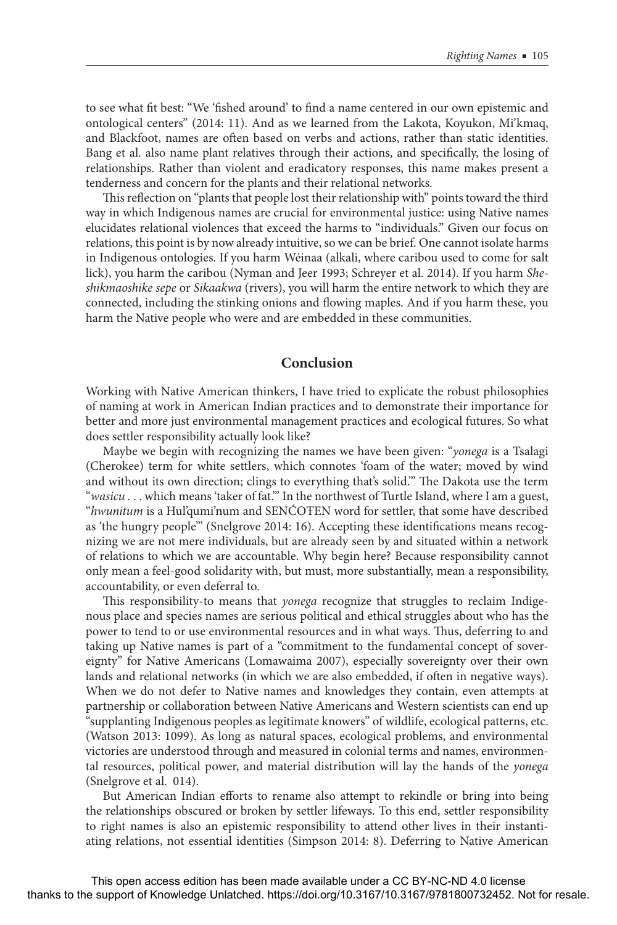to see what fit best: "We 'fished around' to find a name centered in our own epistemic and ontological centers" (2014: 11). And as we learned from the Lakota, Koyukon, Mi'kmaq, and Blackfoot, names are often based on verbs and actions, rather than static identities. Bang et al. also name plant relatives through their actions, and specifically, the losing of relationships. Rather than violent and eradicatory responses, this name makes present a tenderness and concern for the plants and their relational networks.

This reflection on "plants that people lost their relationship with" points toward the third way in which Indigenous names are crucial for environmental justice: using Native names elucidates relational violences that exceed the harms to "individuals." Given our focus on relations, this point is by now already intuitive, so we can be brief. One cannot isolate harms in Indigenous ontologies. If you harm Wéinaa (alkali, where caribou used to come for salt lick), you harm the caribou (Nyman and Jeer 1993; Schreyer et al. 2014). If you harm *Sheshikmaoshike sepe* or *Sikaakwa* (rivers), you will harm the entire network to which they are connected, including the stinking onions and flowing maples. And if you harm these, you harm the Native people who were and are embedded in these communities.

#### **Conclusion**

Working with Native American thinkers, I have tried to explicate the robust philosophies of naming at work in American Indian practices and to demonstrate their importance for better and more just environmental management practices and ecological futures. So what does settler responsibility actually look like?

Maybe we begin with recognizing the names we have been given: "*yonega* is a Tsalagi (Cherokee) term for white settlers, which connotes 'foam of the water; moved by wind and without its own direction; clings to everything that's solid.'" The Dakota use the term "*wasicu* . . . which means 'taker of fat.'" In the northwest of Turtle Island, where I am a guest, "*hwunitum* is a Hul'qumi'num and SENĆOŦEN word for settler, that some have described as 'the hungry people'" (Snelgrove 2014: 16). Accepting these identifications means recognizing we are not mere individuals, but are already seen by and situated within a network of relations to which we are accountable. Why begin here? Because responsibility cannot only mean a feel-good solidarity with, but must, more substantially, mean a responsibility, accountability, or even deferral to.

This responsibility-to means that *yonega* recognize that struggles to reclaim Indigenous place and species names are serious political and ethical struggles about who has the power to tend to or use environmental resources and in what ways. Thus, deferring to and taking up Native names is part of a "commitment to the fundamental concept of sovereignty" for Native Americans (Lomawaima 2007), especially sovereignty over their own lands and relational networks (in which we are also embedded, if often in negative ways). When we do not defer to Native names and knowledges they contain, even attempts at partnership or collaboration between Native Americans and Western scientists can end up "supplanting Indigenous peoples as legitimate knowers" of wildlife, ecological patterns, etc. (Watson 2013: 1099). As long as natural spaces, ecological problems, and environmental victories are understood through and measured in colonial terms and names, environmental resources, political power, and material distribution will lay the hands of the *yonega* (Snelgrove et al. 014).

But American Indian efforts to rename also attempt to rekindle or bring into being the relationships obscured or broken by settler lifeways. To this end, settler responsibility to right names is also an epistemic responsibility to attend other lives in their instantiating relations, not essential identities (Simpson 2014: 8). Deferring to Native American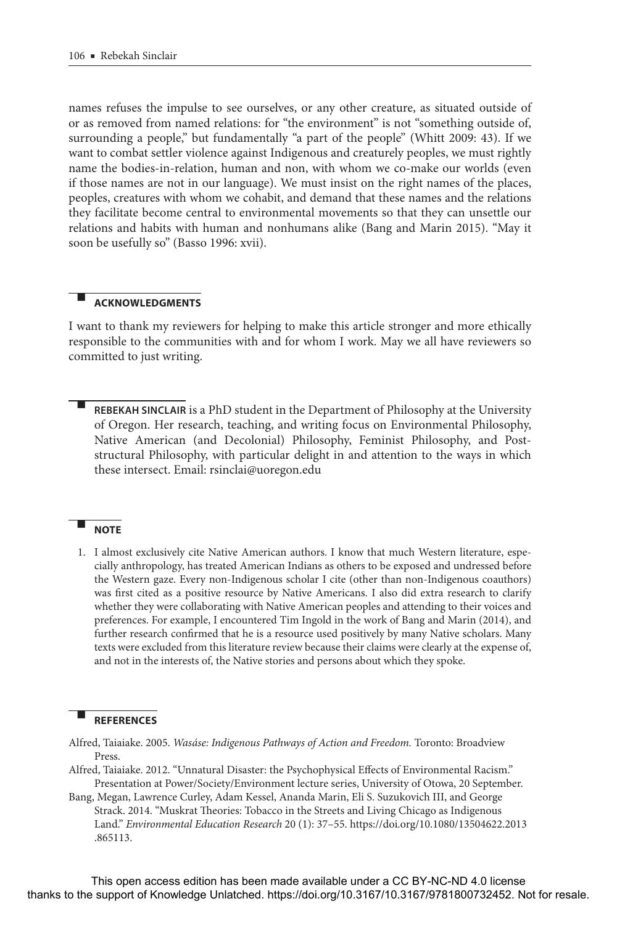names refuses the impulse to see ourselves, or any other creature, as situated outside of or as removed from named relations: for "the environment" is not "something outside of, surrounding a people," but fundamentally "a part of the people" (Whitt 2009: 43). If we want to combat settler violence against Indigenous and creaturely peoples, we must rightly name the bodies-in-relation, human and non, with whom we co-make our worlds (even if those names are not in our language). We must insist on the right names of the places, peoples, creatures with whom we cohabit, and demand that these names and the relations they facilitate become central to environmental movements so that they can unsettle our relations and habits with human and nonhumans alike (Bang and Marin 2015). "May it soon be usefully so" (Basso 1996: xvii).

#### n **ACKNOWLEDGMENTS**

I want to thank my reviewers for helping to make this article stronger and more ethically responsible to the communities with and for whom I work. May we all have reviewers so committed to just writing.

n **REBEKAH SINCLAIR** is a PhD student in the Department of Philosophy at the University of Oregon. Her research, teaching, and writing focus on Environmental Philosophy, Native American (and Decolonial) Philosophy, Feminist Philosophy, and Poststructural Philosophy, with particular delight in and attention to the ways in which these intersect. Email: rsinclai@uoregon.edu

#### n **NOTE**

1. I almost exclusively cite Native American authors. I know that much Western literature, especially anthropology, has treated American Indians as others to be exposed and undressed before the Western gaze. Every non-Indigenous scholar I cite (other than non-Indigenous coauthors) was first cited as a positive resource by Native Americans. I also did extra research to clarify whether they were collaborating with Native American peoples and attending to their voices and preferences. For example, I encountered Tim Ingold in the work of Bang and Marin (2014), and further research confirmed that he is a resource used positively by many Native scholars. Many texts were excluded from this literature review because their claims were clearly at the expense of, and not in the interests of, the Native stories and persons about which they spoke.

#### n **REFERENCES**

Alfred, Taiaiake. 2005. *Wasáse: Indigenous Pathways of Action and Freedom.* Toronto: Broadview Press.

Alfred, Taiaiake. 2012. "Unnatural Disaster: the Psychophysical Effects of Environmental Racism." Presentation at Power/Society/Environment lecture series, University of Otowa, 20 September.

Bang, Megan, Lawrence Curley, Adam Kessel, Ananda Marin, Eli S. Suzukovich III, and George Strack. 2014. "Muskrat Theories: Tobacco in the Streets and Living Chicago as Indigenous Land." *Environmental Education Research* 20 (1): 37–55. https://doi.org/10.1080/13504622.2013 .865113.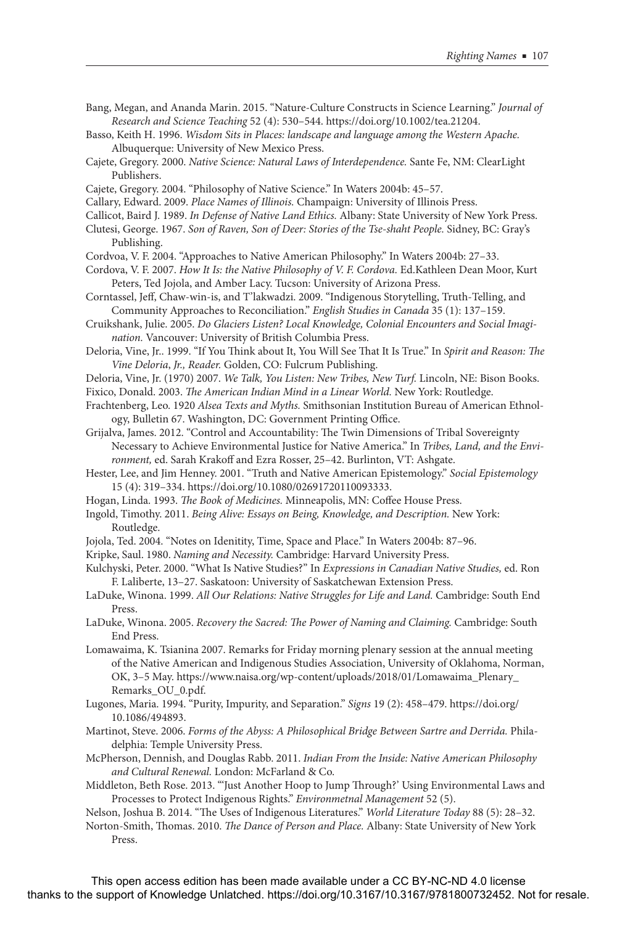- Bang, Megan, and Ananda Marin. 2015. "Nature-Culture Constructs in Science Learning." *Journal of Research and Science Teaching* 52 (4): 530–544. https://doi.org/10.1002/tea.21204.
- Basso, Keith H. 1996. *Wisdom Sits in Places: landscape and language among the Western Apache.* Albuquerque: University of New Mexico Press.
- Cajete, Gregory. 2000. *Native Science: Natural Laws of Interdependence.* Sante Fe, NM: ClearLight Publishers.
- Cajete, Gregory. 2004. "Philosophy of Native Science." In Waters 2004b: 45–57.
- Callary, Edward. 2009. *Place Names of Illinois.* Champaign: University of Illinois Press.
- Callicot, Baird J. 1989. *In Defense of Native Land Ethics.* Albany: State University of New York Press.
- Clutesi, George. 1967. *Son of Raven, Son of Deer: Stories of the Tse-shaht People.* Sidney, BC: Gray's Publishing.
- Cordvoa, V. F. 2004. "Approaches to Native American Philosophy." In Waters 2004b: 27–33.
- Cordova, V. F. 2007. *How It Is: the Native Philosophy of V. F. Cordova.* Ed.Kathleen Dean Moor, Kurt Peters, Ted Jojola, and Amber Lacy. Tucson: University of Arizona Press.
- Corntassel, Jeff, Chaw-win-is, and T'lakwadzi. 2009. "Indigenous Storytelling, Truth-Telling, and Community Approaches to Reconciliation." *English Studies in Canada* 35 (1): 137–159.
- Cruikshank, Julie. 2005. *Do Glaciers Listen? Local Knowledge, Colonial Encounters and Social Imagination.* Vancouver: University of British Columbia Press.
- Deloria, Vine, Jr.. 1999. "If You Think about It, You Will See That It Is True." In *Spirit and Reason: The Vine Deloria*, *Jr., Reader.* Golden, CO: Fulcrum Publishing.
- Deloria, Vine, Jr. (1970) 2007. *We Talk, You Listen: New Tribes, New Turf.* Lincoln, NE: Bison Books.
- Fixico, Donald. 2003. *The American Indian Mind in a Linear World.* New York: Routledge.
- Frachtenberg, Leo. 1920 *Alsea Texts and Myths.* Smithsonian Institution Bureau of American Ethnology, Bulletin 67. Washington, DC: Government Printing Office.
- Grijalva, James. 2012. "Control and Accountability: The Twin Dimensions of Tribal Sovereignty Necessary to Achieve Environmental Justice for Native America." In *Tribes, Land, and the Environment,* ed. Sarah Krakoff and Ezra Rosser, 25–42. Burlinton, VT: Ashgate.
- Hester, Lee, and Jim Henney. 2001. "Truth and Native American Epistemology." *Social Epistemology*  15 (4): 319–334. https://doi.org/10.1080/02691720110093333.
- Hogan, Linda. 1993. *The Book of Medicines.* Minneapolis, MN: Coffee House Press.
- Ingold, Timothy. 2011. *Being Alive: Essays on Being, Knowledge, and Description.* New York: Routledge.
- Jojola, Ted. 2004. "Notes on Idenitity, Time, Space and Place." In Waters 2004b: 87–96.
- Kripke, Saul. 1980. *Naming and Necessity.* Cambridge: Harvard University Press.
- Kulchyski, Peter. 2000. "What Is Native Studies?" In *Expressions in Canadian Native Studies,* ed. Ron F. Laliberte, 13–27. Saskatoon: University of Saskatchewan Extension Press.
- LaDuke, Winona. 1999. *All Our Relations: Native Struggles for Life and Land.* Cambridge: South End Press.
- LaDuke, Winona. 2005. *Recovery the Sacred: The Power of Naming and Claiming.* Cambridge: South End Press.
- Lomawaima, K. Tsianina 2007. Remarks for Friday morning plenary session at the annual meeting of the Native American and Indigenous Studies Association, University of Oklahoma, Norman, OK, 3–5 May. https://www.naisa.org/wp-content/uploads/2018/01/Lomawaima\_Plenary\_ Remarks\_OU\_0.pdf.
- Lugones, Maria. 1994. "Purity, Impurity, and Separation." *Signs* 19 (2): 458–479. https://doi.org/ 10.1086/494893.
- Martinot, Steve. 2006. *Forms of the Abyss: A Philosophical Bridge Between Sartre and Derrida.* Philadelphia: Temple University Press.
- McPherson, Dennish, and Douglas Rabb. 2011. *Indian From the Inside: Native American Philosophy and Cultural Renewal.* London: McFarland & Co.
- Middleton, Beth Rose. 2013. "'Just Another Hoop to Jump Through?' Using Environmental Laws and Processes to Protect Indigenous Rights." *Environmetnal Management* 52 (5).
- Nelson, Joshua B. 2014. "The Uses of Indigenous Literatures." *World Literature Today* 88 (5): 28–32.
- Norton-Smith, Thomas. 2010. *The Dance of Person and Place.* Albany: State University of New York Press.